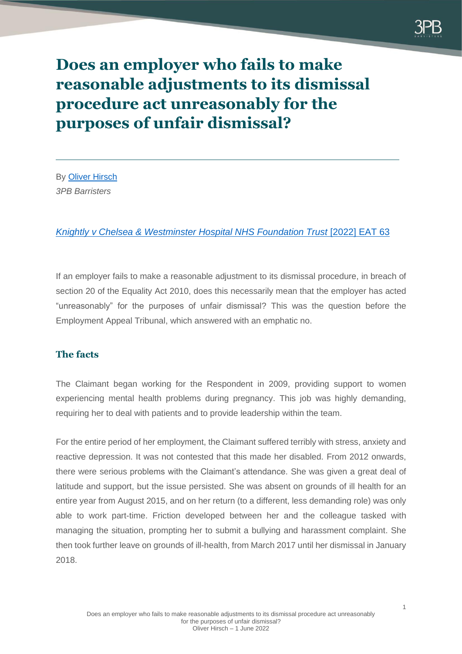

# **Does an employer who fails to make reasonable adjustments to its dismissal procedure act unreasonably for the purposes of unfair dismissal?**

By [Oliver Hirsch](https://www.3pb.co.uk/barristers/oliver-hirsch/) *3PB Barristers*

## *[Knightly v Chelsea & Westminster Hospital NHS Foundation Trust](https://assets.publishing.service.gov.uk/media/6267c393e90e07169115b8f5/Ms_C_Knightley_v_Chelsea___Westminster_Hospital_NHS_Foundation_Trust__2022__EAT_63.pdf)* [2022] EAT 63

If an employer fails to make a reasonable adjustment to its dismissal procedure, in breach of section 20 of the Equality Act 2010, does this necessarily mean that the employer has acted "unreasonably" for the purposes of unfair dismissal? This was the question before the Employment Appeal Tribunal, which answered with an emphatic no.

# **The facts**

The Claimant began working for the Respondent in 2009, providing support to women experiencing mental health problems during pregnancy. This job was highly demanding, requiring her to deal with patients and to provide leadership within the team.

For the entire period of her employment, the Claimant suffered terribly with stress, anxiety and reactive depression. It was not contested that this made her disabled. From 2012 onwards, there were serious problems with the Claimant's attendance. She was given a great deal of latitude and support, but the issue persisted. She was absent on grounds of ill health for an entire year from August 2015, and on her return (to a different, less demanding role) was only able to work part-time. Friction developed between her and the colleague tasked with managing the situation, prompting her to submit a bullying and harassment complaint. She then took further leave on grounds of ill-health, from March 2017 until her dismissal in January 2018.

1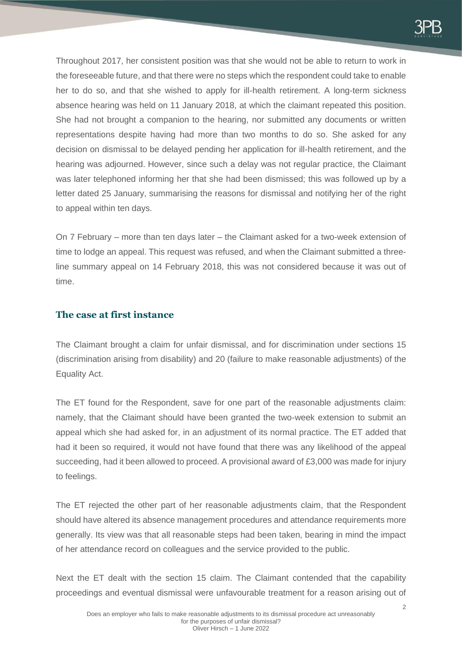

Throughout 2017, her consistent position was that she would not be able to return to work in the foreseeable future, and that there were no steps which the respondent could take to enable her to do so, and that she wished to apply for ill-health retirement. A long-term sickness absence hearing was held on 11 January 2018, at which the claimant repeated this position. She had not brought a companion to the hearing, nor submitted any documents or written representations despite having had more than two months to do so. She asked for any decision on dismissal to be delayed pending her application for ill-health retirement, and the hearing was adjourned. However, since such a delay was not regular practice, the Claimant was later telephoned informing her that she had been dismissed; this was followed up by a letter dated 25 January, summarising the reasons for dismissal and notifying her of the right to appeal within ten days.

On 7 February – more than ten days later – the Claimant asked for a two-week extension of time to lodge an appeal. This request was refused, and when the Claimant submitted a threeline summary appeal on 14 February 2018, this was not considered because it was out of time.

## **The case at first instance**

The Claimant brought a claim for unfair dismissal, and for discrimination under sections 15 (discrimination arising from disability) and 20 (failure to make reasonable adjustments) of the Equality Act.

The ET found for the Respondent, save for one part of the reasonable adjustments claim: namely, that the Claimant should have been granted the two-week extension to submit an appeal which she had asked for, in an adjustment of its normal practice. The ET added that had it been so required, it would not have found that there was any likelihood of the appeal succeeding, had it been allowed to proceed. A provisional award of £3,000 was made for injury to feelings.

The ET rejected the other part of her reasonable adjustments claim, that the Respondent should have altered its absence management procedures and attendance requirements more generally. Its view was that all reasonable steps had been taken, bearing in mind the impact of her attendance record on colleagues and the service provided to the public.

Next the ET dealt with the section 15 claim. The Claimant contended that the capability proceedings and eventual dismissal were unfavourable treatment for a reason arising out of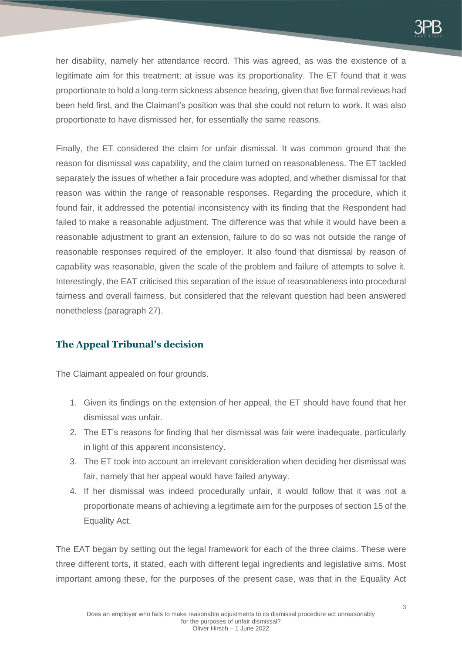her disability, namely her attendance record. This was agreed, as was the existence of a legitimate aim for this treatment; at issue was its proportionality. The ET found that it was proportionate to hold a long-term sickness absence hearing, given that five formal reviews had been held first, and the Claimant's position was that she could not return to work. It was also proportionate to have dismissed her, for essentially the same reasons.

Finally, the ET considered the claim for unfair dismissal. It was common ground that the reason for dismissal was capability, and the claim turned on reasonableness. The ET tackled separately the issues of whether a fair procedure was adopted, and whether dismissal for that reason was within the range of reasonable responses. Regarding the procedure, which it found fair, it addressed the potential inconsistency with its finding that the Respondent had failed to make a reasonable adjustment. The difference was that while it would have been a reasonable adjustment to grant an extension, failure to do so was not outside the range of reasonable responses required of the employer. It also found that dismissal by reason of capability was reasonable, given the scale of the problem and failure of attempts to solve it. Interestingly, the EAT criticised this separation of the issue of reasonableness into procedural fairness and overall fairness, but considered that the relevant question had been answered nonetheless (paragraph 27).

# **The Appeal Tribunal's decision**

The Claimant appealed on four grounds.

- 1. Given its findings on the extension of her appeal, the ET should have found that her dismissal was unfair.
- 2. The ET's reasons for finding that her dismissal was fair were inadequate, particularly in light of this apparent inconsistency.
- 3. The ET took into account an irrelevant consideration when deciding her dismissal was fair, namely that her appeal would have failed anyway.
- 4. If her dismissal was indeed procedurally unfair, it would follow that it was not a proportionate means of achieving a legitimate aim for the purposes of section 15 of the Equality Act.

The EAT began by setting out the legal framework for each of the three claims. These were three different torts, it stated, each with different legal ingredients and legislative aims. Most important among these, for the purposes of the present case, was that in the Equality Act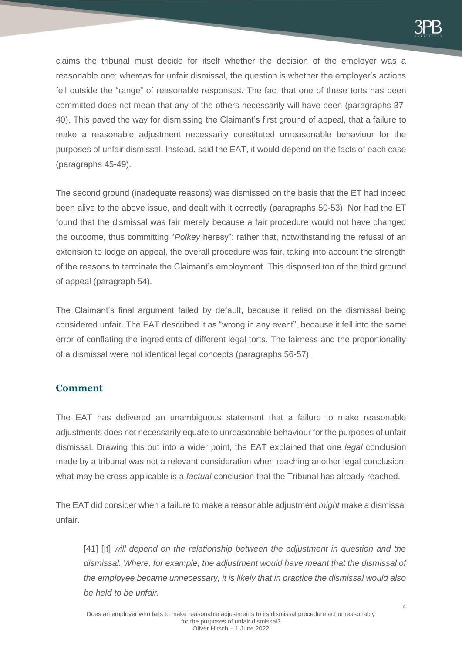

claims the tribunal must decide for itself whether the decision of the employer was a reasonable one; whereas for unfair dismissal, the question is whether the employer's actions fell outside the "range" of reasonable responses. The fact that one of these torts has been committed does not mean that any of the others necessarily will have been (paragraphs 37- 40). This paved the way for dismissing the Claimant's first ground of appeal, that a failure to make a reasonable adjustment necessarily constituted unreasonable behaviour for the purposes of unfair dismissal. Instead, said the EAT, it would depend on the facts of each case (paragraphs 45-49).

The second ground (inadequate reasons) was dismissed on the basis that the ET had indeed been alive to the above issue, and dealt with it correctly (paragraphs 50-53). Nor had the ET found that the dismissal was fair merely because a fair procedure would not have changed the outcome, thus committing "*Polkey* heresy": rather that, notwithstanding the refusal of an extension to lodge an appeal, the overall procedure was fair, taking into account the strength of the reasons to terminate the Claimant's employment. This disposed too of the third ground of appeal (paragraph 54).

The Claimant's final argument failed by default, because it relied on the dismissal being considered unfair. The EAT described it as "wrong in any event", because it fell into the same error of conflating the ingredients of different legal torts. The fairness and the proportionality of a dismissal were not identical legal concepts (paragraphs 56-57).

# **Comment**

The EAT has delivered an unambiguous statement that a failure to make reasonable adjustments does not necessarily equate to unreasonable behaviour for the purposes of unfair dismissal. Drawing this out into a wider point, the EAT explained that one *legal* conclusion made by a tribunal was not a relevant consideration when reaching another legal conclusion; what may be cross-applicable is a *factual* conclusion that the Tribunal has already reached.

The EAT did consider when a failure to make a reasonable adjustment *might* make a dismissal unfair.

[41] [It] will depend on the relationship between the adjustment in question and the *dismissal. Where, for example, the adjustment would have meant that the dismissal of the employee became unnecessary, it is likely that in practice the dismissal would also be held to be unfair.*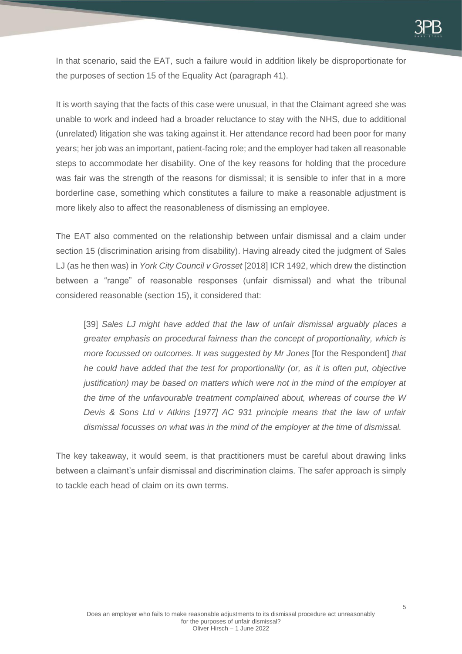In that scenario, said the EAT, such a failure would in addition likely be disproportionate for the purposes of section 15 of the Equality Act (paragraph 41).

It is worth saying that the facts of this case were unusual, in that the Claimant agreed she was unable to work and indeed had a broader reluctance to stay with the NHS, due to additional (unrelated) litigation she was taking against it. Her attendance record had been poor for many years; her job was an important, patient-facing role; and the employer had taken all reasonable steps to accommodate her disability. One of the key reasons for holding that the procedure was fair was the strength of the reasons for dismissal; it is sensible to infer that in a more borderline case, something which constitutes a failure to make a reasonable adjustment is more likely also to affect the reasonableness of dismissing an employee.

The EAT also commented on the relationship between unfair dismissal and a claim under section 15 (discrimination arising from disability). Having already cited the judgment of Sales LJ (as he then was) in *York City Council v Grosset* [2018] ICR 1492, which drew the distinction between a "range" of reasonable responses (unfair dismissal) and what the tribunal considered reasonable (section 15), it considered that:

[39] *Sales LJ might have added that the law of unfair dismissal arguably places a greater emphasis on procedural fairness than the concept of proportionality, which is more focussed on outcomes. It was suggested by Mr Jones* [for the Respondent] *that he could have added that the test for proportionality (or, as it is often put, objective justification) may be based on matters which were not in the mind of the employer at the time of the unfavourable treatment complained about, whereas of course the W Devis & Sons Ltd v Atkins [1977] AC 931 principle means that the law of unfair dismissal focusses on what was in the mind of the employer at the time of dismissal.*

The key takeaway, it would seem, is that practitioners must be careful about drawing links between a claimant's unfair dismissal and discrimination claims. The safer approach is simply to tackle each head of claim on its own terms.